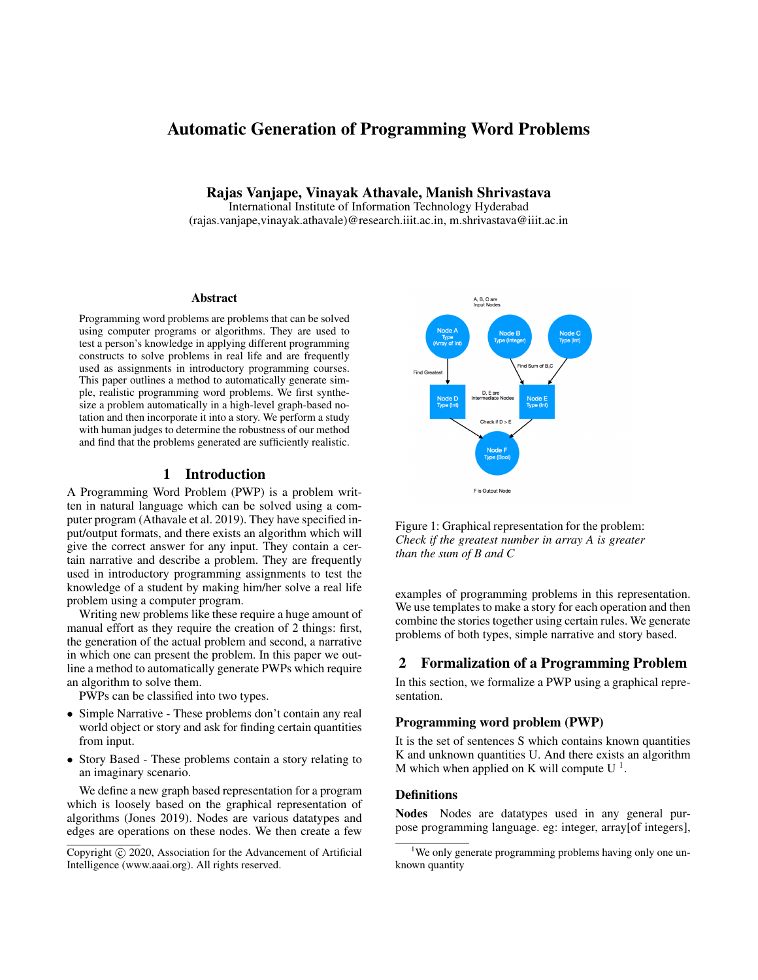# Automatic Generation of Programming Word Problems

Rajas Vanjape, Vinayak Athavale, Manish Shrivastava International Institute of Information Technology Hyderabad

(rajas.vanjape,vinayak.athavale)@research.iiit.ac.in, m.shrivastava@iiit.ac.in

#### Abstract

Programming word problems are problems that can be solved using computer programs or algorithms. They are used to test a person's knowledge in applying different programming constructs to solve problems in real life and are frequently used as assignments in introductory programming courses. This paper outlines a method to automatically generate simple, realistic programming word problems. We first synthesize a problem automatically in a high-level graph-based notation and then incorporate it into a story. We perform a study with human judges to determine the robustness of our method and find that the problems generated are sufficiently realistic.

### 1 Introduction

A Programming Word Problem (PWP) is a problem written in natural language which can be solved using a computer program (Athavale et al. 2019). They have specified input/output formats, and there exists an algorithm which will give the correct answer for any input. They contain a certain narrative and describe a problem. They are frequently used in introductory programming assignments to test the knowledge of a student by making him/her solve a real life problem using a computer program.

Writing new problems like these require a huge amount of manual effort as they require the creation of 2 things: first, the generation of the actual problem and second, a narrative in which one can present the problem. In this paper we outline a method to automatically generate PWPs which require an algorithm to solve them.

PWPs can be classified into two types.

- Simple Narrative These problems don't contain any real world object or story and ask for finding certain quantities from input.
- Story Based These problems contain a story relating to an imaginary scenario.

We define a new graph based representation for a program which is loosely based on the graphical representation of algorithms (Jones 2019). Nodes are various datatypes and edges are operations on these nodes. We then create a few



Figure 1: Graphical representation for the problem: *Check if the greatest number in array A is greater than the sum of B and C*

examples of programming problems in this representation. We use templates to make a story for each operation and then combine the stories together using certain rules. We generate problems of both types, simple narrative and story based.

## 2 Formalization of a Programming Problem

In this section, we formalize a PWP using a graphical representation.

### Programming word problem (PWP)

It is the set of sentences S which contains known quantities K and unknown quantities U. And there exists an algorithm M which when applied on K will compute  $U<sup>1</sup>$ .

### **Definitions**

Nodes Nodes are datatypes used in any general purpose programming language. eg: integer, array[of integers],

Copyright (c) 2020, Association for the Advancement of Artificial Intelligence (www.aaai.org). All rights reserved.

<sup>&</sup>lt;sup>1</sup>We only generate programming problems having only one unknown quantity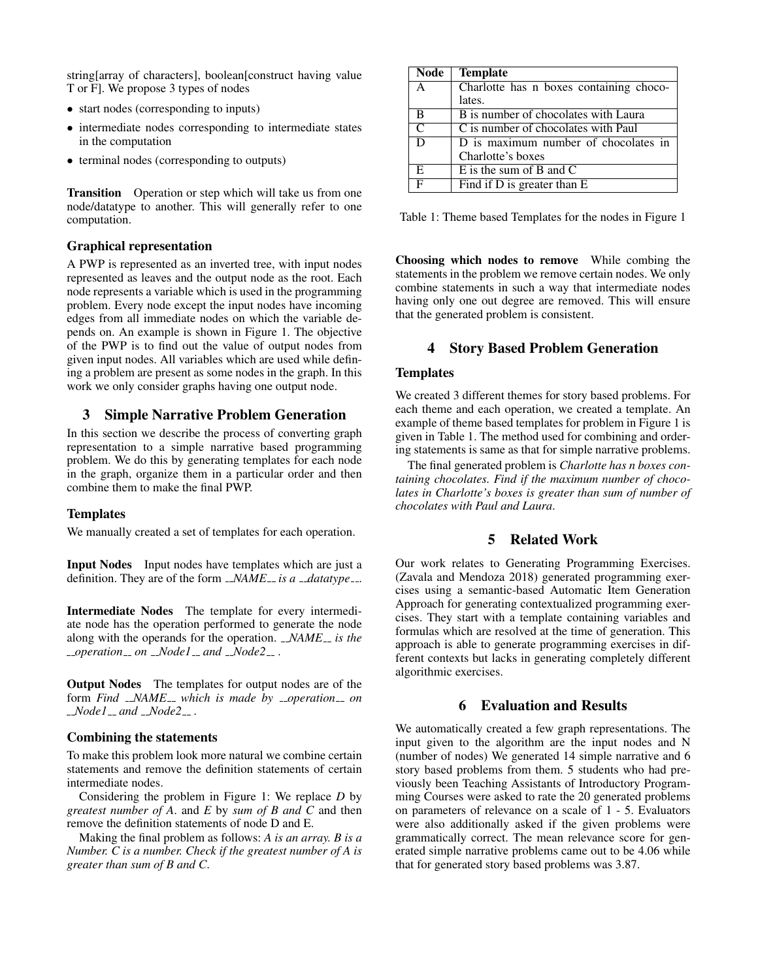string[array of characters], boolean[construct having value T or F]. We propose 3 types of nodes

- start nodes (corresponding to inputs)
- intermediate nodes corresponding to intermediate states in the computation
- terminal nodes (corresponding to outputs)

**Transition** Operation or step which will take us from one node/datatype to another. This will generally refer to one computation.

### Graphical representation

A PWP is represented as an inverted tree, with input nodes represented as leaves and the output node as the root. Each node represents a variable which is used in the programming problem. Every node except the input nodes have incoming edges from all immediate nodes on which the variable depends on. An example is shown in Figure 1. The objective of the PWP is to find out the value of output nodes from given input nodes. All variables which are used while defining a problem are present as some nodes in the graph. In this work we only consider graphs having one output node.

# 3 Simple Narrative Problem Generation

In this section we describe the process of converting graph representation to a simple narrative based programming problem. We do this by generating templates for each node in the graph, organize them in a particular order and then combine them to make the final PWP.

#### **Templates**

We manually created a set of templates for each operation.

Input Nodes Input nodes have templates which are just a definition. They are of the form  $\Delta MSE_{-}$  *is a*  $\Delta d$  *datatype* ...

Intermediate Nodes The template for every intermediate node has the operation performed to generate the node along with the operands for the operation. *\_NAME*<sub>-</sub> is the *operation on Node1 and Node2* .

Output Nodes The templates for output nodes are of the form *Find* \_NAME\_\_ which is made by \_\_operation\_\_ on *Node1 and Node2* .

#### Combining the statements

To make this problem look more natural we combine certain statements and remove the definition statements of certain intermediate nodes.

Considering the problem in Figure 1: We replace *D* by *greatest number of A*. and *E* by *sum of B and C* and then remove the definition statements of node D and E.

Making the final problem as follows: *A is an array. B is a Number. C is a number. Check if the greatest number of A is greater than sum of B and C*.

| Node | <b>Template</b>                                   |
|------|---------------------------------------------------|
| A    | Charlotte has n boxes containing choco-           |
|      | lates.                                            |
| В    | B is number of chocolates with Laura              |
| C    | C is number of chocolates with Paul               |
| D    | $\overline{D}$ is maximum number of chocolates in |
|      | Charlotte's boxes                                 |
| E.   | $E$ is the sum of $B$ and $C$                     |
|      | Find if D is greater than E                       |

Table 1: Theme based Templates for the nodes in Figure 1

Choosing which nodes to remove While combing the statements in the problem we remove certain nodes. We only combine statements in such a way that intermediate nodes having only one out degree are removed. This will ensure that the generated problem is consistent.

# 4 Story Based Problem Generation

#### **Templates**

We created 3 different themes for story based problems. For each theme and each operation, we created a template. An example of theme based templates for problem in Figure 1 is given in Table 1. The method used for combining and ordering statements is same as that for simple narrative problems.

The final generated problem is *Charlotte has n boxes containing chocolates. Find if the maximum number of chocolates in Charlotte's boxes is greater than sum of number of chocolates with Paul and Laura*.

# 5 Related Work

Our work relates to Generating Programming Exercises. (Zavala and Mendoza 2018) generated programming exercises using a semantic-based Automatic Item Generation Approach for generating contextualized programming exercises. They start with a template containing variables and formulas which are resolved at the time of generation. This approach is able to generate programming exercises in different contexts but lacks in generating completely different algorithmic exercises.

## 6 Evaluation and Results

We automatically created a few graph representations. The input given to the algorithm are the input nodes and N (number of nodes) We generated 14 simple narrative and 6 story based problems from them. 5 students who had previously been Teaching Assistants of Introductory Programming Courses were asked to rate the 20 generated problems on parameters of relevance on a scale of 1 - 5. Evaluators were also additionally asked if the given problems were grammatically correct. The mean relevance score for generated simple narrative problems came out to be 4.06 while that for generated story based problems was 3.87.